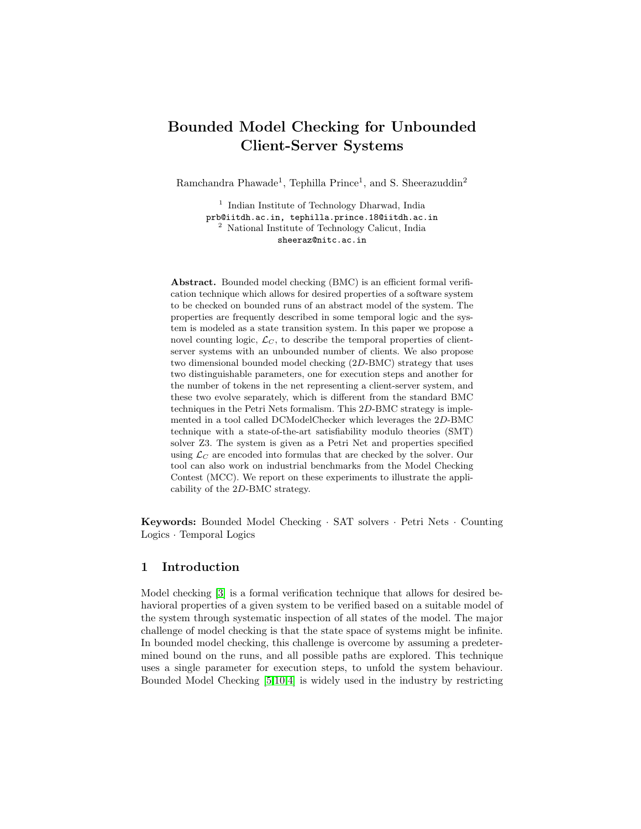# Bounded Model Checking for Unbounded Client-Server Systems

Ramchandra Phawade<sup>1</sup>, Tephilla Prince<sup>1</sup>, and S. Sheerazuddin<sup>2</sup>

<sup>1</sup> Indian Institute of Technology Dharwad, India prb@iitdh.ac.in, tephilla.prince.18@iitdh.ac.in <sup>2</sup> National Institute of Technology Calicut, India sheeraz@nitc.ac.in

Abstract. Bounded model checking (BMC) is an efficient formal verification technique which allows for desired properties of a software system to be checked on bounded runs of an abstract model of the system. The properties are frequently described in some temporal logic and the system is modeled as a state transition system. In this paper we propose a novel counting logic,  $\mathcal{L}_C$ , to describe the temporal properties of clientserver systems with an unbounded number of clients. We also propose two dimensional bounded model checking (2D-BMC) strategy that uses two distinguishable parameters, one for execution steps and another for the number of tokens in the net representing a client-server system, and these two evolve separately, which is different from the standard BMC techniques in the Petri Nets formalism. This 2D-BMC strategy is implemented in a tool called DCModelChecker which leverages the 2D-BMC technique with a state-of-the-art satisfiability modulo theories (SMT) solver Z3. The system is given as a Petri Net and properties specified using  $\mathcal{L}_C$  are encoded into formulas that are checked by the solver. Our tool can also work on industrial benchmarks from the Model Checking Contest (MCC). We report on these experiments to illustrate the applicability of the 2D-BMC strategy.

Keywords: Bounded Model Checking · SAT solvers · Petri Nets · Counting Logics · Temporal Logics

# 1 Introduction

Model checking [\[3\]](#page-14-0) is a formal verification technique that allows for desired behavioral properties of a given system to be verified based on a suitable model of the system through systematic inspection of all states of the model. The major challenge of model checking is that the state space of systems might be infinite. In bounded model checking, this challenge is overcome by assuming a predetermined bound on the runs, and all possible paths are explored. This technique uses a single parameter for execution steps, to unfold the system behaviour. Bounded Model Checking [\[5](#page-14-1)[,10,](#page-14-2)[4\]](#page-14-3) is widely used in the industry by restricting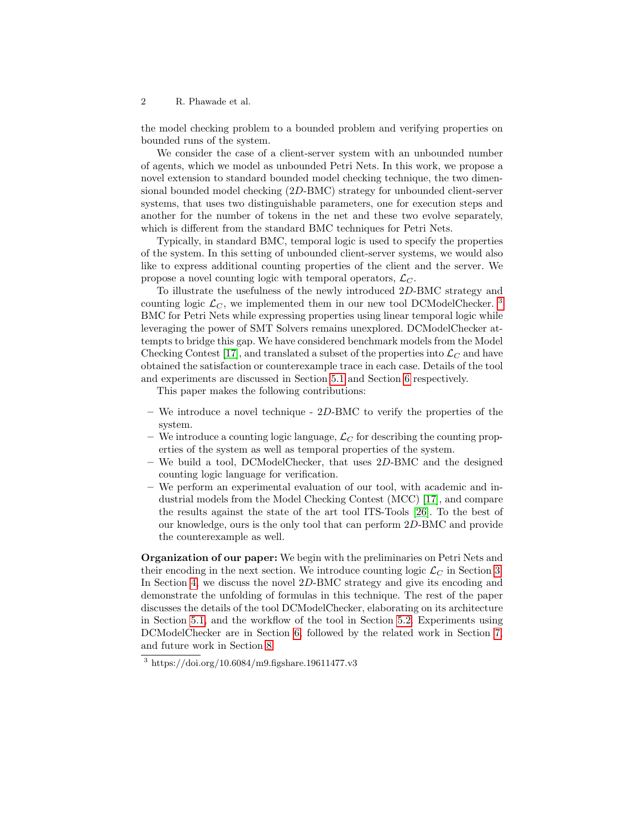the model checking problem to a bounded problem and verifying properties on bounded runs of the system.

We consider the case of a client-server system with an unbounded number of agents, which we model as unbounded Petri Nets. In this work, we propose a novel extension to standard bounded model checking technique, the two dimensional bounded model checking (2D-BMC) strategy for unbounded client-server systems, that uses two distinguishable parameters, one for execution steps and another for the number of tokens in the net and these two evolve separately, which is different from the standard BMC techniques for Petri Nets.

Typically, in standard BMC, temporal logic is used to specify the properties of the system. In this setting of unbounded client-server systems, we would also like to express additional counting properties of the client and the server. We propose a novel counting logic with temporal operators,  $\mathcal{L}_C$ .

To illustrate the usefulness of the newly introduced 2D-BMC strategy and counting logic  $\mathcal{L}_C$ , we implemented them in our new tool DCModelChecker.<sup>[3](#page-1-0)</sup> BMC for Petri Nets while expressing properties using linear temporal logic while leveraging the power of SMT Solvers remains unexplored. DCModelChecker attempts to bridge this gap. We have considered benchmark models from the Model Checking Contest [\[17\]](#page-14-4), and translated a subset of the properties into  $\mathcal{L}_C$  and have obtained the satisfaction or counterexample trace in each case. Details of the tool and experiments are discussed in Section [5.1](#page-9-0) and Section [6](#page-10-0) respectively.

This paper makes the following contributions:

- We introduce a novel technique  $2D-BMC$  to verify the properties of the system.
- We introduce a counting logic language,  $\mathcal{L}_C$  for describing the counting properties of the system as well as temporal properties of the system.
- We build a tool, DCModelChecker, that uses  $2D-BMC$  and the designed counting logic language for verification.
- We perform an experimental evaluation of our tool, with academic and industrial models from the Model Checking Contest (MCC) [\[17\]](#page-14-4), and compare the results against the state of the art tool ITS-Tools [\[26\]](#page-15-0). To the best of our knowledge, ours is the only tool that can perform 2D-BMC and provide the counterexample as well.

Organization of our paper: We begin with the preliminaries on Petri Nets and their encoding in the next section. We introduce counting logic  $\mathcal{L}_C$  in Section [3.](#page-3-0) In Section [4,](#page-5-0) we discuss the novel 2D-BMC strategy and give its encoding and demonstrate the unfolding of formulas in this technique. The rest of the paper discusses the details of the tool DCModelChecker, elaborating on its architecture in Section [5.1,](#page-9-0) and the workflow of the tool in Section [5.2.](#page-9-1) Experiments using DCModelChecker are in Section [6,](#page-10-0) followed by the related work in Section [7,](#page-12-0) and future work in Section [8.](#page-13-0)

<span id="page-1-0"></span><sup>3</sup> https://doi.org/10.6084/m9.figshare.19611477.v3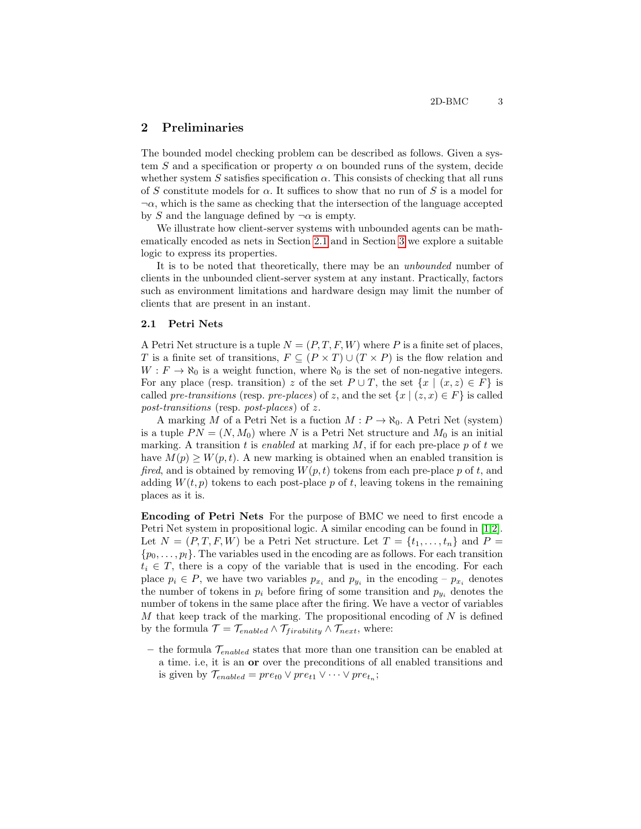# 2 Preliminaries

The bounded model checking problem can be described as follows. Given a system S and a specification or property  $\alpha$  on bounded runs of the system, decide whether system S satisfies specification  $\alpha$ . This consists of checking that all runs of S constitute models for  $\alpha$ . It suffices to show that no run of S is a model for  $\neg \alpha$ , which is the same as checking that the intersection of the language accepted by S and the language defined by  $\neg \alpha$  is empty.

We illustrate how client-server systems with unbounded agents can be mathematically encoded as nets in Section [2.1](#page-2-0) and in Section [3](#page-3-0) we explore a suitable logic to express its properties.

It is to be noted that theoretically, there may be an unbounded number of clients in the unbounded client-server system at any instant. Practically, factors such as environment limitations and hardware design may limit the number of clients that are present in an instant.

### <span id="page-2-0"></span>2.1 Petri Nets

A Petri Net structure is a tuple  $N = (P, T, F, W)$  where P is a finite set of places, T is a finite set of transitions,  $F \subseteq (P \times T) \cup (T \times P)$  is the flow relation and  $W : F \to \aleph_0$  is a weight function, where  $\aleph_0$  is the set of non-negative integers. For any place (resp. transition) z of the set  $P \cup T$ , the set  $\{x \mid (x, z) \in F\}$  is called pre-transitions (resp. pre-places) of z, and the set  $\{x \mid (z, x) \in F\}$  is called post-transitions (resp. post-places) of z.

A marking M of a Petri Net is a fuction  $M : P \to \aleph_0$ . A Petri Net (system) is a tuple  $PN = (N, M_0)$  where N is a Petri Net structure and  $M_0$  is an initial marking. A transition t is enabled at marking  $M$ , if for each pre-place  $p$  of  $t$  we have  $M(p) \geq W(p, t)$ . A new marking is obtained when an enabled transition is fired, and is obtained by removing  $W(p, t)$  tokens from each pre-place p of t, and adding  $W(t, p)$  tokens to each post-place p of t, leaving tokens in the remaining places as it is.

Encoding of Petri Nets For the purpose of BMC we need to first encode a Petri Net system in propositional logic. A similar encoding can be found in [\[1,](#page-13-1)[2\]](#page-13-2). Let  $N = (P, T, F, W)$  be a Petri Net structure. Let  $T = \{t_1, \ldots, t_n\}$  and  $P =$  $\{p_0, \ldots, p_l\}$ . The variables used in the encoding are as follows. For each transition  $t_i \in T$ , there is a copy of the variable that is used in the encoding. For each place  $p_i \in P$ , we have two variables  $p_{x_i}$  and  $p_{y_i}$  in the encoding  $-p_{x_i}$  denotes the number of tokens in  $p_i$  before firing of some transition and  $p_{y_i}$  denotes the number of tokens in the same place after the firing. We have a vector of variables M that keep track of the marking. The propositional encoding of  $N$  is defined by the formula  $\mathcal{T} = \mathcal{T}_{enabeled} \wedge \mathcal{T}_{frability} \wedge \mathcal{T}_{next}$ , where:

– the formula  $\mathcal{T}_{enabled}$  states that more than one transition can be enabled at a time. i.e, it is an or over the preconditions of all enabled transitions and is given by  $\mathcal{T}_{enabeled} = pre_{t0} \lor pre_{t1} \lor \cdots \lor pre_{t_n};$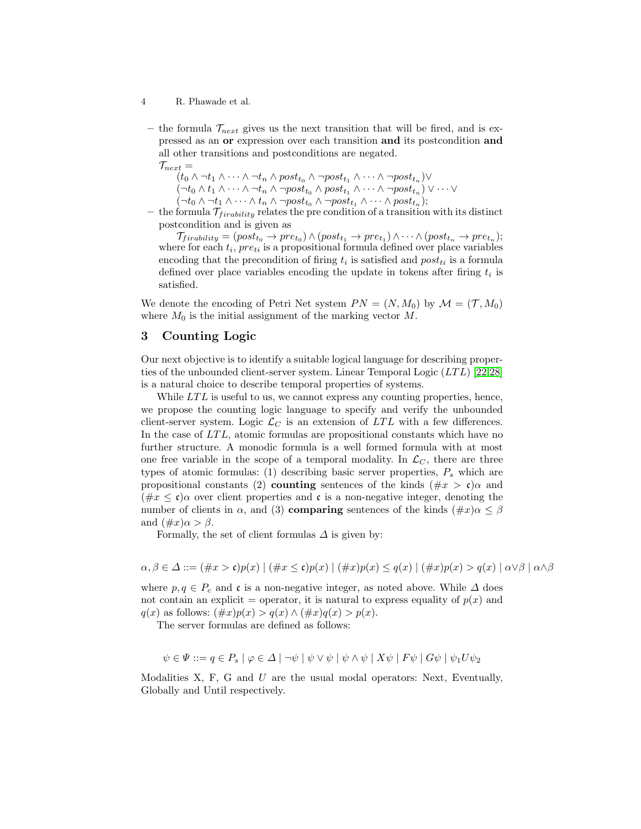- 4 R. Phawade et al.
	- the formula  $\mathcal{T}_{next}$  gives us the next transition that will be fired, and is expressed as an or expression over each transition and its postcondition and all other transitions and postconditions are negated.

 $\mathcal{T}_{next} =$  $(t_0 \wedge \neg t_1 \wedge \cdots \wedge \neg t_n \wedge post_{t_0} \wedge \neg post_{t_1} \wedge \cdots \wedge \neg post_{t_n}) \vee$  $(\neg t_0 \wedge t_1 \wedge \cdots \wedge \neg t_n \wedge \neg post_{t_0} \wedge post_{t_1} \wedge \cdots \wedge \neg post_{t_n}) \vee \cdots \vee$  $(\neg t_0 \wedge \neg t_1 \wedge \cdots \wedge t_n \wedge \neg post_{t_0} \wedge \neg post_{t_1} \wedge \cdots \wedge post_{t_n});$ 

– the formula  $\mathcal{T}_{\text{frability}}$  relates the pre condition of a transition with its distinct postcondition and is given as

 $\mathcal{T}_{\text{frability}} = (post_{t_0} \rightarrow pre_{t_0}) \land (post_{t_1} \rightarrow pre_{t_1}) \land \cdots \land (post_{t_n} \rightarrow pre_{t_n});$ where for each  $t_i$ ,  $pre_{ti}$  is a propositional formula defined over place variables encoding that the precondition of firing  $t_i$  is satisfied and  $post_{ti}$  is a formula defined over place variables encoding the update in tokens after firing  $t_i$  is satisfied.

We denote the encoding of Petri Net system  $PN = (N, M_0)$  by  $\mathcal{M} = (\mathcal{T}, M_0)$ where  $M_0$  is the initial assignment of the marking vector  $M$ .

# <span id="page-3-0"></span>3 Counting Logic

Our next objective is to identify a suitable logical language for describing proper-ties of the unbounded client-server system. Linear Temporal Logic (LTL) [\[22,](#page-15-1)[28\]](#page-15-2) is a natural choice to describe temporal properties of systems.

While  $LTL$  is useful to us, we cannot express any counting properties, hence, we propose the counting logic language to specify and verify the unbounded client-server system. Logic  $\mathcal{L}_C$  is an extension of LTL with a few differences. In the case of LTL, atomic formulas are propositional constants which have no further structure. A monodic formula is a well formed formula with at most one free variable in the scope of a temporal modality. In  $\mathcal{L}_C$ , there are three types of atomic formulas: (1) describing basic server properties,  $P_s$  which are propositional constants (2) **counting** sentences of the kinds  $(\text{\#}x > \mathfrak{c})\alpha$  and  $(\text{#x} \leq \mathfrak{c})\alpha$  over client properties and  $\mathfrak{c}$  is a non-negative integer, denoting the number of clients in  $\alpha$ , and (3) **comparing** sentences of the kinds  $(\#x)\alpha \leq \beta$ and  $(\#x)\alpha > \beta$ .

Formally, the set of client formulas  $\Delta$  is given by:

$$
\alpha, \beta \in \Delta ::= (\#x > \mathfrak{c})p(x) \mid (\#x \leq \mathfrak{c})p(x) \mid (\#x)p(x) \leq q(x) \mid (\#x)p(x) > q(x) \mid \alpha \vee \beta \mid \alpha \wedge \beta
$$

where  $p, q \in P_c$  and c is a non-negative integer, as noted above. While  $\Delta$  does not contain an explicit = operator, it is natural to express equality of  $p(x)$  and  $q(x)$  as follows:  $(\#x)p(x) > q(x) \wedge (\#x)q(x) > p(x)$ .

The server formulas are defined as follows:

$$
\psi \in \Psi ::= q \in P_s \mid \varphi \in \Delta \mid \neg \psi \mid \psi \vee \psi \mid \psi \wedge \psi \mid X\psi \mid F\psi \mid G\psi \mid \psi_1 U\psi_2
$$

Modalities  $X$ ,  $F$ ,  $G$  and  $U$  are the usual modal operators: Next, Eventually, Globally and Until respectively.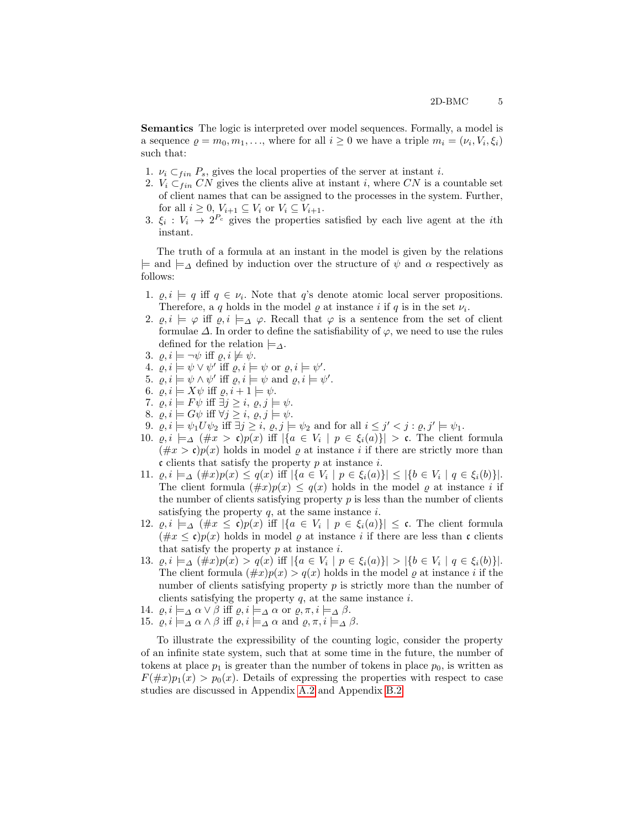Semantics The logic is interpreted over model sequences. Formally, a model is a sequence  $\rho = m_0, m_1, \ldots$ , where for all  $i \geq 0$  we have a triple  $m_i = (\nu_i, V_i, \xi_i)$ such that:

- 1.  $\nu_i \subset_{fin} P_s$ , gives the local properties of the server at instant *i*.
- 2.  $V_i \subset_{fin} CN$  gives the clients alive at instant i, where CN is a countable set of client names that can be assigned to the processes in the system. Further, for all  $i \geq 0$ ,  $V_{i+1} \subseteq V_i$  or  $V_i \subseteq V_{i+1}$ .
- 3.  $\xi_i: V_i \to 2^{P_c}$  gives the properties satisfied by each live agent at the *i*th instant.

The truth of a formula at an instant in the model is given by the relations  $\models$  and  $\models_\Delta$  defined by induction over the structure of  $\psi$  and  $\alpha$  respectively as follows:

- 1.  $\rho, i \models q$  iff  $q \in \nu_i$ . Note that q's denote atomic local server propositions. Therefore, a q holds in the model  $\rho$  at instance i if q is in the set  $\nu_i$ .
- 2.  $\varrho, i \models \varphi$  iff  $\varrho, i \models_{\Delta} \varphi$ . Recall that  $\varphi$  is a sentence from the set of client formulae  $\Delta$ . In order to define the satisfiability of  $\varphi$ , we need to use the rules defined for the relation  $\models_{\Delta}$ .
- 3.  $\rho, i \models \neg \psi$  iff  $\rho, i \not\models \psi$ .
- 4.  $\rho, i \models \psi \lor \psi'$  iff  $\rho, i \models \psi$  or  $\rho, i \models \psi'$ .
- 5.  $\rho, i \models \psi \land \psi'$  iff  $\rho, i \models \psi$  and  $\rho, i \models \psi'$ .
- 6.  $\rho, i \models X\psi$  iff  $\rho, i + 1 \models \psi$ .
- 7.  $\rho, i \models F\psi \text{ iff } \exists j \geq i, \varrho, j \models \psi.$
- 8.  $\varrho, i \models G\psi \text{ iff } \forall j \geq i, \varrho, j \models \psi.$
- 9.  $\rho, i \models \psi_1 U \psi_2$  iff  $\exists j \geq i, \varrho, j \models \psi_2$  and for all  $i \leq j' < j : \varrho, j' \models \psi_1$ .
- 10.  $\rho, i \models_{\Delta} (\#x > \mathfrak{c})p(x)$  iff  $|\{a \in V_i \mid p \in \xi_i(a)\}| > \mathfrak{c}$ . The client formula  $(\#x > \mathfrak{c})p(x)$  holds in model  $\varrho$  at instance i if there are strictly more than c clients that satisfy the property  $p$  at instance  $i$ .
- 11.  $\varrho, i \models_{\Delta} (\#x)p(x) \leq q(x)$  iff  $|\{a \in V_i \mid p \in \xi_i(a)\}| \leq |\{b \in V_i \mid q \in \xi_i(b)\}|$ . The client formula  $(\#x)p(x) \leq q(x)$  holds in the model  $\varrho$  at instance i if the number of clients satisfying property  $p$  is less than the number of clients satisfying the property  $q$ , at the same instance  $i$ .
- 12.  $\varrho, i \models_{\Delta} (\#x \leq \mathfrak{c})p(x)$  iff  $|\{a \in V_i \mid p \in \xi_i(a)\}| \leq \mathfrak{c}$ . The client formula  $(\#x \le \mathfrak{c})p(x)$  holds in model  $\varrho$  at instance i if there are less than  $\mathfrak{c}$  clients that satisfy the property  $p$  at instance  $i$ .
- 13.  $\varrho, i \models_{\Delta} (\#x)p(x) > q(x) \text{ iff } |\{a \in V_i \mid p \in \xi_i(a)\}| > |\{b \in V_i \mid q \in \xi_i(b)\}|.$ The client formula  $(\#x)p(x) > q(x)$  holds in the model  $\varrho$  at instance i if the number of clients satisfying property  $p$  is strictly more than the number of clients satisfying the property  $q$ , at the same instance  $i$ .
- 14.  $\varrho, i \models_{\Delta} \alpha \lor \beta$  iff  $\varrho, i \models_{\Delta} \alpha$  or  $\varrho, \pi, i \models_{\Delta} \beta$ .
- 15.  $\varrho, i \models_{\Delta} \alpha \wedge \beta$  iff  $\varrho, i \models_{\Delta} \alpha$  and  $\varrho, \pi, i \models_{\Delta} \beta$ .

To illustrate the expressibility of the counting logic, consider the property of an infinite state system, such that at some time in the future, the number of tokens at place  $p_1$  is greater than the number of tokens in place  $p_0$ , is written as  $F(\#x)p_1(x) > p_0(x)$ . Details of expressing the properties with respect to case studies are discussed in Appendix [A.2](#page-18-0) and Appendix [B.2.](#page-21-0)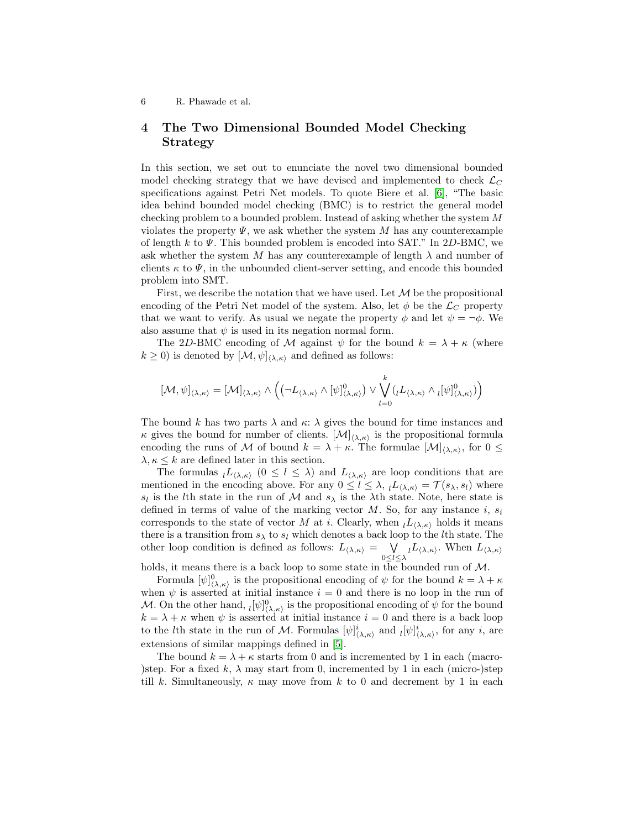# <span id="page-5-0"></span>4 The Two Dimensional Bounded Model Checking Strategy

In this section, we set out to enunciate the novel two dimensional bounded model checking strategy that we have devised and implemented to check  $\mathcal{L}_C$ specifications against Petri Net models. To quote Biere et al. [\[6\]](#page-14-5), "The basic idea behind bounded model checking (BMC) is to restrict the general model checking problem to a bounded problem. Instead of asking whether the system M violates the property  $\Psi$ , we ask whether the system M has any counterexample of length k to  $\Psi$ . This bounded problem is encoded into SAT." In 2D-BMC, we ask whether the system M has any counterexample of length  $\lambda$  and number of clients  $\kappa$  to  $\Psi$ , in the unbounded client-server setting, and encode this bounded problem into SMT.

First, we describe the notation that we have used. Let  $\mathcal M$  be the propositional encoding of the Petri Net model of the system. Also, let  $\phi$  be the  $\mathcal{L}_C$  property that we want to verify. As usual we negate the property  $\phi$  and let  $\psi = \neg \phi$ . We also assume that  $\psi$  is used in its negation normal form.

The 2D-BMC encoding of M against  $\psi$  for the bound  $k = \lambda + \kappa$  (where  $k \geq 0$ ) is denoted by  $[\mathcal{M}, \psi]_{\langle \lambda, \kappa \rangle}$  and defined as follows:

$$
[\mathcal{M},\psi]_{\langle\lambda,\kappa\rangle}=[\mathcal{M}]_{\langle\lambda,\kappa\rangle}\wedge\Big(\big(\neg L_{\langle\lambda,\kappa\rangle}\wedge[\psi]^0_{\langle\lambda,\kappa\rangle}\big)\vee\bigvee_{l=0}^k(_{l}L_{\langle\lambda,\kappa\rangle}\wedge{}_{l}[\psi]^0_{\langle\lambda,\kappa\rangle})\Big)
$$

The bound k has two parts  $\lambda$  and  $\kappa$ :  $\lambda$  gives the bound for time instances and  $\kappa$  gives the bound for number of clients.  $[\mathcal{M}]_{\langle \lambda,\kappa\rangle}$  is the propositional formula encoding the runs of M of bound  $k = \lambda + \kappa$ . The formulae  $[\mathcal{M}]_{(\lambda,\kappa)}$ , for  $0 \leq$  $\lambda, \kappa \leq k$  are defined later in this section.

The formulas  $l_{\lambda,\kappa}$   $(0 \leq l \leq \lambda)$  and  $L_{\lambda,\kappa}$  are loop conditions that are mentioned in the encoding above. For any  $0 \leq l \leq \lambda$ ,  $lL_{\langle \lambda,\kappa \rangle} = \mathcal{T}(s_{\lambda}, s_{l})$  where  $s_l$  is the *l*th state in the run of M and  $s_\lambda$  is the  $\lambda$ th state. Note, here state is defined in terms of value of the marking vector M. So, for any instance i,  $s_i$ corresponds to the state of vector M at i. Clearly, when  $L_{(\lambda,\kappa)}$  holds it means there is a transition from  $s_{\lambda}$  to  $s_l$  which denotes a back loop to the *l*th state. The other loop condition is defined as follows:  $L_{\langle \lambda,\kappa \rangle} = \bigvee$  $\bigvee_{0 \leq l \leq \lambda} l_{\langle \lambda,\kappa \rangle}$ . When  $L_{\langle \lambda,\kappa \rangle}$ 

holds, it means there is a back loop to some state in the bounded run of M.

Formula  $[\psi]_{\langle \lambda,\kappa\rangle}^0$  is the propositional encoding of  $\psi$  for the bound  $k = \lambda + \kappa$ when  $\psi$  is asserted at initial instance  $i = 0$  and there is no loop in the run of M. On the other hand,  $\iota[\psi]^0_{(\lambda,\kappa)}$  is the propositional encoding of  $\psi$  for the bound  $k = \lambda + \kappa$  when  $\psi$  is asserted at initial instance  $i = 0$  and there is a back loop to the *l*<sup>th</sup> state in the run of M. Formulas  $[\psi]_{\langle \lambda,\kappa\rangle}^i$  and  $[\psi]_{\langle \lambda,\kappa\rangle}^i$ , for any *i*, are extensions of similar mappings defined in [\[5\]](#page-14-1).

The bound  $k = \lambda + \kappa$  starts from 0 and is incremented by 1 in each (macro-)step. For a fixed k,  $\lambda$  may start from 0, incremented by 1 in each (micro-)step till k. Simultaneously,  $\kappa$  may move from k to 0 and decrement by 1 in each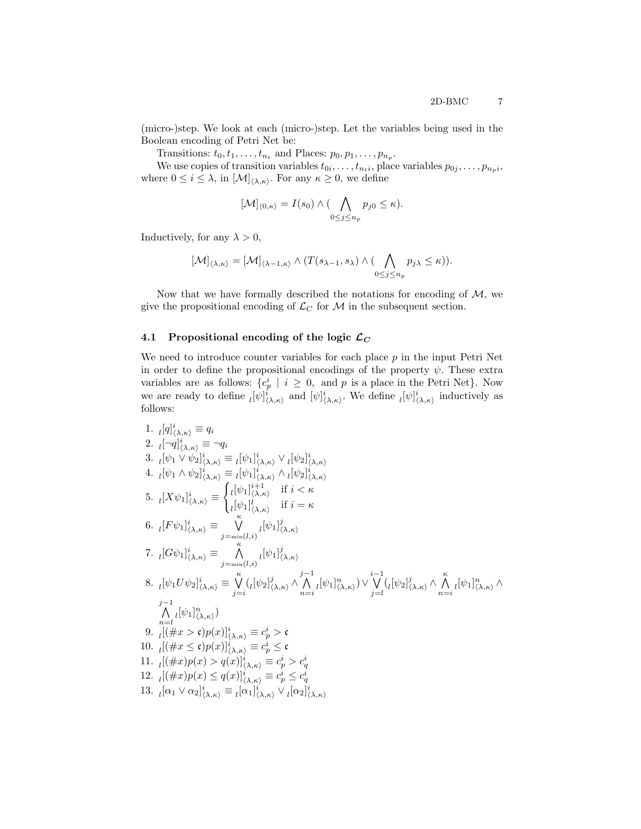(micro-)step. We look at each (micro-)step. Let the variables being used in the Boolean encoding of Petri Net be:

Transitions:  $t_0, t_1, \ldots, t_{n_t}$  and Places:  $p_0, p_1, \ldots, p_{n_p}$ .

We use copies of transition variables  $t_{0i}, \ldots, t_{n_t i}$ , place variables  $p_{0j}, \ldots, p_{n_p i}$ , where  $0 \leq i \leq \lambda$ , in  $[\mathcal{M}]_{\langle \lambda,\kappa\rangle}$ . For any  $\kappa \geq 0$ , we define

$$
[\mathcal{M}]_{\langle 0,\kappa\rangle}=I(s_0)\wedge (\bigwedge_{0\leq j\leq n_p}p_{j0}\leq \kappa).
$$

Inductively, for any  $\lambda > 0$ ,

$$
[\mathcal{M}]_{\langle \lambda, \kappa\rangle} = [\mathcal{M}]_{\langle \lambda-1, \kappa\rangle} \wedge (T(s_{\lambda-1}, s_{\lambda}) \wedge (\bigwedge_{0 \leq j \leq n_p} p_{j\lambda} \leq \kappa)).
$$

Now that we have formally described the notations for encoding of  $M$ , we give the propositional encoding of  $\mathcal{L}_C$  for M in the subsequent section.

### <span id="page-6-0"></span>4.1 Propositional encoding of the logic  $\mathcal{L}_C$

We need to introduce counter variables for each place  $p$  in the input Petri Net in order to define the propositional encodings of the property  $\psi$ . These extra variables are as follows:  $\{c_p^i \mid i \geq 0, \text{ and } p \text{ is a place in the Petri Net}\}.$  Now we are ready to define  $[\psi]_{(\lambda,\kappa)}^i$  and  $[\psi]_{(\lambda,\kappa)}^i$ . We define  $[\psi]_{(\lambda,\kappa)}^i$  inductively as follows:

1. 
$$
{}_{l} [q]_{(\lambda,\kappa)}^{i} \equiv q_{i}
$$
\n2. 
$$
{}_{l} [-q]_{(\lambda,\kappa)}^{i} \equiv \neg q_{i}
$$
\n3. 
$$
{}_{l} [\psi_{1} \vee \psi_{2}]_{(\lambda,\kappa)}^{i} \equiv {}_{l} [\psi_{1}]_{(\lambda,\kappa)}^{i} \vee {}_{l} [\psi_{2}]_{(\lambda,\kappa)}^{i}
$$
\n4. 
$$
{}_{l} [\psi_{1} \wedge \psi_{2}]_{(\lambda,\kappa)}^{i} \equiv {}_{l} [\psi_{1}]_{(\lambda,\kappa)}^{i} \wedge {}_{l} [\psi_{2}]_{(\lambda,\kappa)}^{i}
$$
\n5. 
$$
{}_{l} [X \psi_{1}]_{(\lambda,\kappa)}^{i} \equiv \begin{cases} {}_{l} [\psi_{1}]_{(\lambda,\kappa)}^{i+1} & \text{if } i < \kappa \\ {}_{l} [\psi_{1}]_{(\lambda,\kappa)}^{i} & \text{if } i = \kappa \end{cases}
$$
\n6. 
$$
{}_{l} [F \psi_{1}]_{(\lambda,\kappa)}^{i} \equiv \bigvee_{j=\min(l,i)}^{k} {}_{l} [\psi_{1}]_{(\lambda,\kappa)}^{j}
$$
\n7. 
$$
{}_{l} [G \psi_{1}]_{(\lambda,\kappa)}^{i} \equiv \bigwedge_{j=\min(l,i)}^{k} {}_{l} [\psi_{1}]_{(\lambda,\kappa)}^{j}
$$
\n8. 
$$
{}_{l} [\psi_{1} U \psi_{2}]_{(\lambda,\kappa)}^{i} \equiv \bigvee_{j=i}^{k} {}_{l} [\psi_{2}]_{(\lambda,\kappa)}^{j} \wedge \bigwedge_{n=i}^{j-1} {}_{l} [\psi_{1}]_{(\lambda,\kappa)}^{n} \vee \bigvee_{j=l}^{i-1} {}_{l} [\psi_{2}]_{(\lambda,\kappa)}^{j} \wedge \bigwedge_{n=i}^{k} {}_{l} [\psi_{1}]_{(\lambda,\kappa)}^{n} \wedge \bigwedge_{n=i}^{k} {}_{l} [\psi_{1}]_{(\lambda,\kappa)}^{n} \wedge \bigwedge_{n=i}^{j-1} {}_{l} [\psi_{1}]_{(\lambda,\kappa)}^{n} \wedge \bigwedge_{n=i}^{j-1} {}_{l} [\psi_{1}]_{(\lambda,\kappa)}^{n} \wedge \bigwedge_{n=i}^{j-1} {}_{l
$$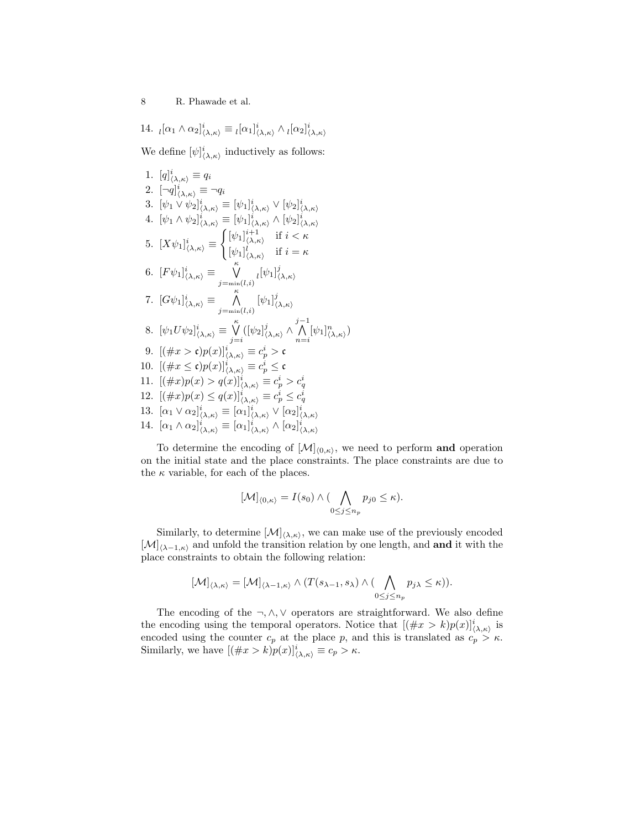14.  $_l[\alpha_1 \wedge \alpha_2]_{\langle \lambda,\kappa \rangle}^i \equiv \left. _l[\alpha_1]_{\langle \lambda,\kappa \rangle}^i \wedge \left. _l[\alpha_2]_{\langle \lambda,\kappa \rangle}^i\right.$ We define  $[\psi]_{\langle \lambda,\kappa\rangle}^i$  inductively as follows: 1.  $[q]_{\langle \lambda,\kappa\rangle}^i \equiv q_i$ 2.  $[\neg q]_{\langle \lambda,\kappa \rangle}^i \equiv \neg q_i$ 3.  $[\psi_1 \vee \psi_2]_{\langle \lambda,\kappa \rangle}^i \equiv [\psi_1]_{\langle \lambda,\kappa \rangle}^i \vee [\psi_2]_{\langle \lambda,\kappa \rangle}^i$ 4.  $[\psi_1 \wedge \psi_2]_{\langle \lambda,\kappa \rangle}^i \equiv [\psi_1]_{\langle \lambda,\kappa \rangle}^i \wedge [\psi_2]_{\langle \lambda,\kappa \rangle}^i$ 5.  $[X\psi_1]_{\langle\lambda,\kappa\rangle}^i \equiv$  $\int [\psi_1]_{\langle \lambda, \kappa \rangle}^{i+1}$  if  $i < \kappa$  $[\psi_1]_{\langle \lambda,\kappa\rangle}^l$  if  $i=\kappa$ 6.  $[F\psi_1]_{\langle\lambda,\kappa\rangle}^i \equiv \begin{bmatrix} \kappa \\ \sqrt{\kappa} \end{bmatrix}$  $\bigvee_{j=\min(l,i)}^{\infty}$   $\left[\psi_1\right]_{\left\langle}^{j}$  $\langle \lambda, \kappa \rangle$ 7.  $[G\psi_1]_{\langle\lambda,\kappa\rangle}^i \equiv \bigwedge^{\kappa}$  $\bigwedge_{j=\min(l,i)}^n [\psi_1]_q^j$  $\langle \lambda, \kappa \rangle$ 8.  $[\psi_1 U \psi_2]_{\langle \lambda, \kappa \rangle}^i \equiv \bigvee^{\kappa}$  $\bigvee_{j=i}^{n} ([\psi_2]_{\langle}^{j}]$  $\sum_{\langle \lambda,\kappa\rangle}^j \wedge \bigwedge^{j-1}$  $\bigwedge_{n=i}^{\mathsf{r}}[\psi_1]_{\langle\lambda,\kappa\rangle}^n$ 9.  $[(\#x > \mathfrak{c})p(x)]_{\langle \lambda, \kappa \rangle}^i \equiv c_p^i > \mathfrak{c}$ 10.  $[(\#x \le \mathfrak{c})p(x)]_{\langle \lambda,\kappa \rangle}^i \equiv c_p^i \le \mathfrak{c}$ 11.  $[(\#x)p(x) > q(x)]_{(\lambda,\kappa)}^i \equiv c_p^i > c_q^i$ 12.  $[(\#x)p(x) \leq q(x)]_{\langle \lambda,\kappa \rangle}^i \equiv c_p^i \leq c_q^i$ 13.  $[\alpha_1 \vee \alpha_2]_{\langle \lambda,\kappa \rangle}^i \equiv [\alpha_1]_{\langle \lambda,\kappa \rangle}^i \vee [\alpha_2]_{\langle \lambda,\kappa \rangle}^i$ 14.  $[\alpha_1 \wedge \alpha_2]_{\langle \lambda,\kappa \rangle}^i \equiv [\alpha_1]_{\langle \lambda,\kappa \rangle}^i \wedge [\alpha_2]_{\langle \lambda,\kappa \rangle}^i$ 

To determine the encoding of  $[\mathcal{M}]_{(0,\kappa)}$ , we need to perform and operation on the initial state and the place constraints. The place constraints are due to the  $\kappa$  variable, for each of the places.

$$
[\mathcal{M}]_{\langle 0,\kappa\rangle}=I(s_0)\wedge (\bigwedge_{0\leq j\leq n_p}p_{j0}\leq \kappa).
$$

Similarly, to determine  $[\mathcal{M}]_{\langle \lambda,\kappa\rangle}$ , we can make use of the previously encoded  $[\mathcal{M}]_{\langle \lambda-1,\kappa\rangle}$  and unfold the transition relation by one length, and and it with the place constraints to obtain the following relation:

$$
[\mathcal{M}]_{\langle \lambda,\kappa\rangle} = [\mathcal{M}]_{\langle \lambda-1,\kappa\rangle} \wedge (T(s_{\lambda-1},s_{\lambda}) \wedge (\bigwedge_{0 \leq j \leq n_p} p_{j\lambda} \leq \kappa)).
$$

The encoding of the  $\neg, \wedge, \vee$  operators are straightforward. We also define the encoding using the temporal operators. Notice that  $[(\#x > k)p(x)]_{(\lambda,\kappa)}^i$  is encoded using the counter  $c_p$  at the place p, and this is translated as  $c_p > \kappa$ . Similarly, we have  $[(\#x > k)p(x)]_{(\lambda,\kappa)}^i \equiv c_p > \kappa$ .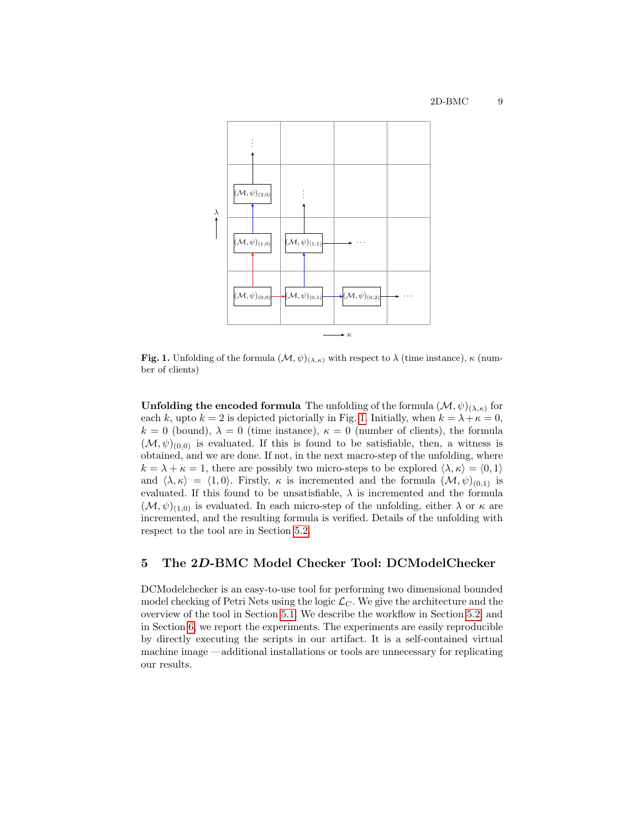

<span id="page-8-0"></span>Fig. 1. Unfolding of the formula  $(\mathcal{M}, \psi)_{(\lambda,\kappa)}$  with respect to  $\lambda$  (time instance),  $\kappa$  (number of clients)

**Unfolding the encoded formula** The unfolding of the formula  $(\mathcal{M}, \psi)_{(\lambda,\kappa)}$  for each k, upto  $k = 2$  is depicted pictorially in Fig. [1.](#page-8-0) Initially, when  $k = \lambda + \kappa = 0$ ,  $k = 0$  (bound),  $\lambda = 0$  (time instance),  $\kappa = 0$  (number of clients), the formula  $(\mathcal{M}, \psi)_{(0,0)}$  is evaluated. If this is found to be satisfiable, then, a witness is obtained, and we are done. If not, in the next macro-step of the unfolding, where  $k = \lambda + \kappa = 1$ , there are possibly two micro-steps to be explored  $\langle \lambda, \kappa \rangle = \langle 0, 1 \rangle$ and  $\langle \lambda, \kappa \rangle = \langle 1, 0 \rangle$ . Firstly,  $\kappa$  is incremented and the formula  $(\mathcal{M}, \psi)_{(0,1)}$  is evaluated. If this found to be unsatisfiable,  $\lambda$  is incremented and the formula  $(\mathcal{M}, \psi)_{(1,0)}$  is evaluated. In each micro-step of the unfolding, either  $\lambda$  or  $\kappa$  are incremented, and the resulting formula is verified. Details of the unfolding with respect to the tool are in Section [5.2.](#page-9-1)

# 5 The 2D-BMC Model Checker Tool: DCModelChecker

DCModelchecker is an easy-to-use tool for performing two dimensional bounded model checking of Petri Nets using the logic  $\mathcal{L}_C$ . We give the architecture and the overview of the tool in Section [5.1.](#page-9-0) We describe the workflow in Section [5.2,](#page-9-1) and in Section [6,](#page-10-0) we report the experiments. The experiments are easily reproducible by directly executing the scripts in our artifact. It is a self-contained virtual machine image —additional installations or tools are unnecessary for replicating our results.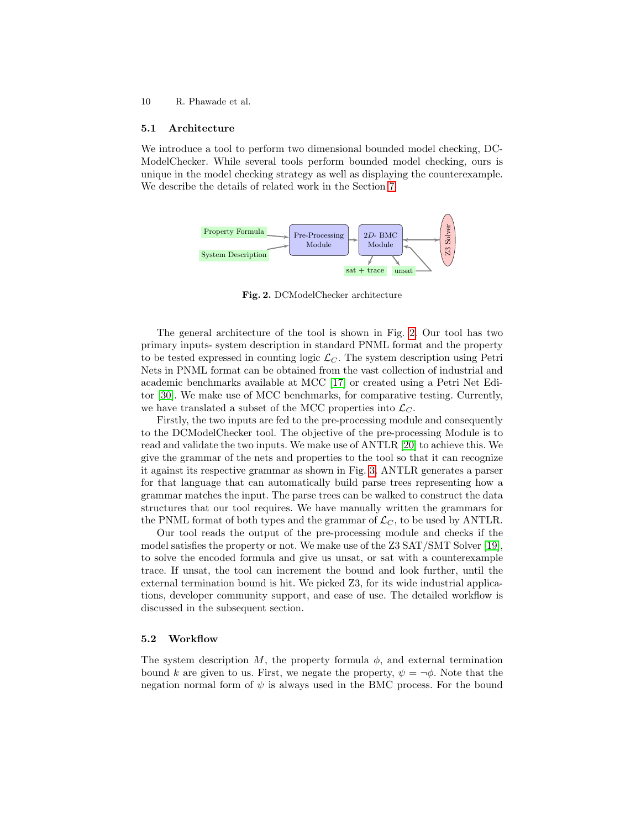#### <span id="page-9-0"></span>5.1 Architecture

We introduce a tool to perform two dimensional bounded model checking, DC-ModelChecker. While several tools perform bounded model checking, ours is unique in the model checking strategy as well as displaying the counterexample. We describe the details of related work in the Section [7.](#page-12-0)



<span id="page-9-2"></span>Fig. 2. DCModelChecker architecture

The general architecture of the tool is shown in Fig. [2.](#page-9-2) Our tool has two primary inputs- system description in standard PNML format and the property to be tested expressed in counting logic  $\mathcal{L}_C$ . The system description using Petri Nets in PNML format can be obtained from the vast collection of industrial and academic benchmarks available at MCC [\[17\]](#page-14-4) or created using a Petri Net Editor [\[30\]](#page-15-3). We make use of MCC benchmarks, for comparative testing. Currently, we have translated a subset of the MCC properties into  $\mathcal{L}_C$ .

Firstly, the two inputs are fed to the pre-processing module and consequently to the DCModelChecker tool. The objective of the pre-processing Module is to read and validate the two inputs. We make use of ANTLR [\[20\]](#page-14-6) to achieve this. We give the grammar of the nets and properties to the tool so that it can recognize it against its respective grammar as shown in Fig. [3.](#page-10-1) ANTLR generates a parser for that language that can automatically build parse trees representing how a grammar matches the input. The parse trees can be walked to construct the data structures that our tool requires. We have manually written the grammars for the PNML format of both types and the grammar of  $\mathcal{L}_C$ , to be used by ANTLR.

Our tool reads the output of the pre-processing module and checks if the model satisfies the property or not. We make use of the Z3 SAT/SMT Solver [\[19\]](#page-14-7), to solve the encoded formula and give us unsat, or sat with a counterexample trace. If unsat, the tool can increment the bound and look further, until the external termination bound is hit. We picked Z3, for its wide industrial applications, developer community support, and ease of use. The detailed workflow is discussed in the subsequent section.

### <span id="page-9-1"></span>5.2 Workflow

The system description M, the property formula  $\phi$ , and external termination bound k are given to us. First, we negate the property,  $\psi = \neg \phi$ . Note that the negation normal form of  $\psi$  is always used in the BMC process. For the bound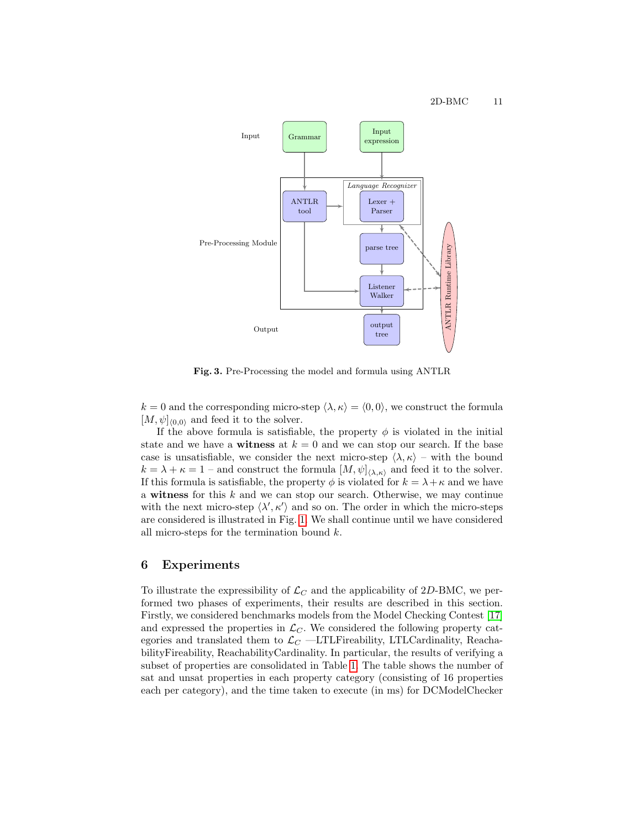

<span id="page-10-1"></span>Fig. 3. Pre-Processing the model and formula using ANTLR

 $k = 0$  and the corresponding micro-step  $\langle \lambda, \kappa \rangle = \langle 0, 0 \rangle$ , we construct the formula  $[M, \psi]_{(0,0)}$  and feed it to the solver.

If the above formula is satisfiable, the property  $\phi$  is violated in the initial state and we have a **witness** at  $k = 0$  and we can stop our search. If the base case is unsatisfiable, we consider the next micro-step  $\langle \lambda, \kappa \rangle$  – with the bound  $k = \lambda + \kappa = 1$  – and construct the formula  $[M, \psi]_{\langle \lambda, \kappa \rangle}$  and feed it to the solver. If this formula is satisfiable, the property  $\phi$  is violated for  $k = \lambda + \kappa$  and we have a witness for this  $k$  and we can stop our search. Otherwise, we may continue with the next micro-step  $\langle \lambda', \kappa' \rangle$  and so on. The order in which the micro-steps are considered is illustrated in Fig. [1.](#page-8-0) We shall continue until we have considered all micro-steps for the termination bound  $k$ .

### <span id="page-10-0"></span>6 Experiments

To illustrate the expressibility of  $\mathcal{L}_C$  and the applicability of 2D-BMC, we performed two phases of experiments, their results are described in this section. Firstly, we considered benchmarks models from the Model Checking Contest [\[17\]](#page-14-4) and expressed the properties in  $\mathcal{L}_C$ . We considered the following property categories and translated them to  $\mathcal{L}_C$  —LTLFireability, LTLCardinality, ReachabilityFireability, ReachabilityCardinality. In particular, the results of verifying a subset of properties are consolidated in Table [1.](#page-11-0) The table shows the number of sat and unsat properties in each property category (consisting of 16 properties each per category), and the time taken to execute (in ms) for DCModelChecker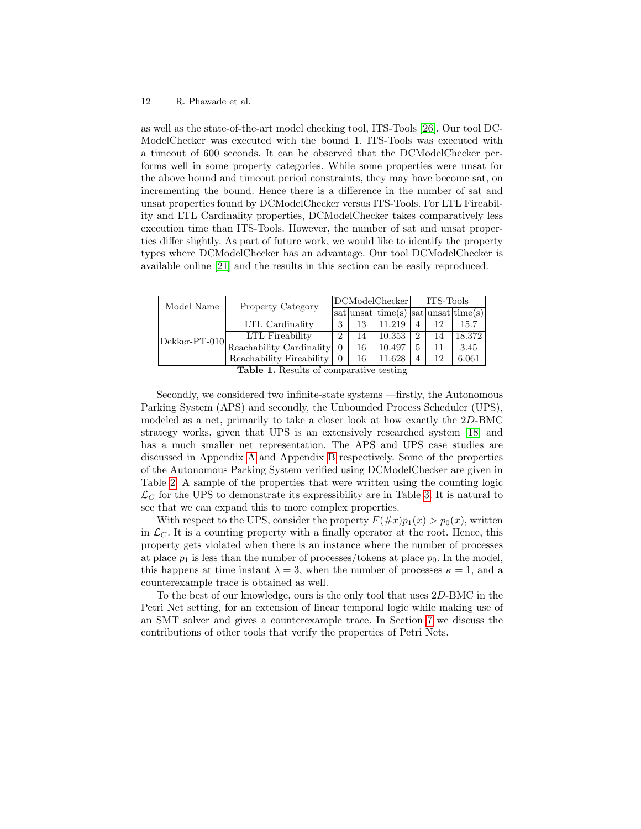as well as the state-of-the-art model checking tool, ITS-Tools [\[26\]](#page-15-0). Our tool DC-ModelChecker was executed with the bound 1. ITS-Tools was executed with a timeout of 600 seconds. It can be observed that the DCModelChecker performs well in some property categories. While some properties were unsat for the above bound and timeout period constraints, they may have become sat, on incrementing the bound. Hence there is a difference in the number of sat and unsat properties found by DCModelChecker versus ITS-Tools. For LTL Fireability and LTL Cardinality properties, DCModelChecker takes comparatively less execution time than ITS-Tools. However, the number of sat and unsat properties differ slightly. As part of future work, we would like to identify the property types where DCModelChecker has an advantage. Our tool DCModelChecker is available online [\[21\]](#page-14-8) and the results in this section can be easily reproduced.

| Model Name                                                         | <b>Property Category</b> | DCModelChecker |    |                                                        | ITS-Tools |    |        |
|--------------------------------------------------------------------|--------------------------|----------------|----|--------------------------------------------------------|-----------|----|--------|
|                                                                    |                          |                |    | $sat $ unsat $ $ time(s) $ $ sat $ $ unsat $ $ time(s) |           |    |        |
| $\rm{ Dekker-PT\mbox{-}010 \frac{---}{Reachability~Cardinality }}$ | LTL Cardinality          | 3              | 13 | 11.219                                                 | 4         | 12 | 15.7   |
|                                                                    | LTL Fireability          | $\overline{2}$ | 14 | 10.353                                                 | 2         | 14 | 18.372 |
|                                                                    |                          | $\Omega$       | 16 | 10.497                                                 |           | 11 | 3.45   |
|                                                                    | Reachability Fireability | $\Omega$       | 16 | 11.628                                                 | 4         | 12 | 6.061  |
| Table 1 Decute of comparative testing                              |                          |                |    |                                                        |           |    |        |

<span id="page-11-0"></span>Table 1. Results of comparative testing

Secondly, we considered two infinite-state systems —firstly, the Autonomous Parking System (APS) and secondly, the Unbounded Process Scheduler (UPS), modeled as a net, primarily to take a closer look at how exactly the 2D-BMC strategy works, given that UPS is an extensively researched system [\[18\]](#page-14-9) and has a much smaller net representation. The APS and UPS case studies are discussed in Appendix [A](#page-16-0) and Appendix [B](#page-20-0) respectively. Some of the properties of the Autonomous Parking System verified using DCModelChecker are given in Table [2.](#page-12-1) A sample of the properties that were written using the counting logic  $\mathcal{L}_C$  for the UPS to demonstrate its expressibility are in Table [3.](#page-12-2) It is natural to see that we can expand this to more complex properties.

With respect to the UPS, consider the property  $F(\#x)p_1(x) > p_0(x)$ , written in  $\mathcal{L}_C$ . It is a counting property with a finally operator at the root. Hence, this property gets violated when there is an instance where the number of processes at place  $p_1$  is less than the number of processes/tokens at place  $p_0$ . In the model, this happens at time instant  $\lambda = 3$ , when the number of processes  $\kappa = 1$ , and a counterexample trace is obtained as well.

To the best of our knowledge, ours is the only tool that uses 2D-BMC in the Petri Net setting, for an extension of linear temporal logic while making use of an SMT solver and gives a counterexample trace. In Section [7](#page-12-0) we discuss the contributions of other tools that verify the properties of Petri Nets.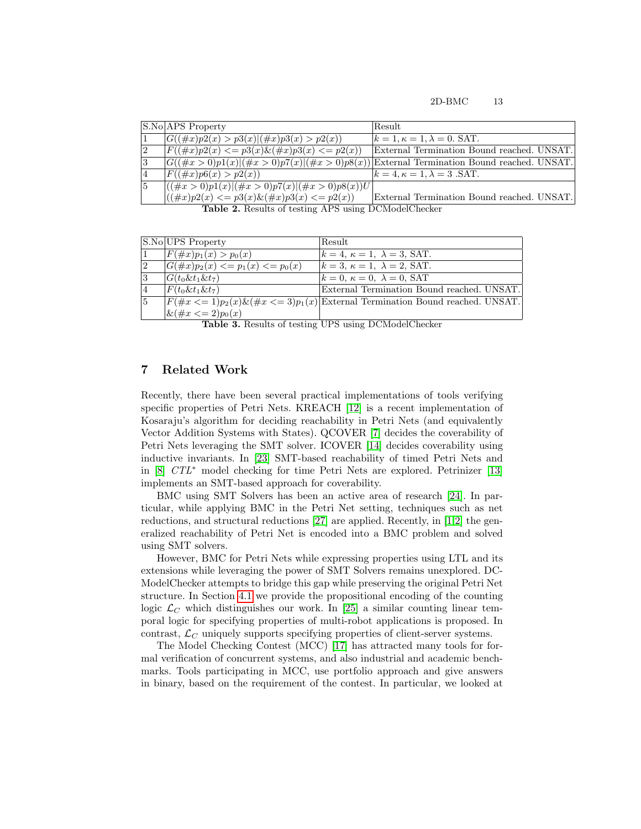#### 2D-BMC 13

|             | S.No APS Property                                                                              | Result                                     |
|-------------|------------------------------------------------------------------------------------------------|--------------------------------------------|
|             | $ G((\#x)p2(x) > p3(x) (\#x)p3(x) > p2(x))$                                                    | $k = 1, \kappa = 1, \lambda = 0$ . SAT.    |
| $ 2\rangle$ | $ F((\#x)p2(x) \leq p3(x) \& (\#x)p3(x) \leq p2(x))$                                           | External Termination Bound reached. UNSAT. |
| 3           | $ G((\#x > 0)p1(x) (\#x > 0)p7(x) (\#x > 0)p8(x)) $ External Termination Bound reached. UNSAT. |                                            |
| 14          | $ F((\#x)p6(x) > p2(x)) $                                                                      | $k = 4, \kappa = 1, \lambda = 3$ . SAT.    |
| 15          | $ ((\#x > 0)p1(x) (\#x > 0)p7(x) (\#x > 0)p8(x))U $                                            |                                            |
|             | $((\#x)p2(x) \leq p3(x) \& (\#x)p3(x) \leq p2(x))$                                             | External Termination Bound reached. UNSAT. |
|             |                                                                                                |                                            |

<span id="page-12-1"></span>Table 2. Results of testing APS using DCModelChecker

|             | S.No UPS Property                       | Result                                                                                |
|-------------|-----------------------------------------|---------------------------------------------------------------------------------------|
|             | $ F(\#x)p_1(x) > p_0(x) $               | $k = 4, \kappa = 1, \lambda = 3$ , SAT.                                               |
| $ 2\rangle$ | $ G(\#x)p_2(x) \leq p_1(x) \leq p_0(x)$ | $k=3, \kappa=1, \lambda=2$ , SAT.                                                     |
| 3           | $G(t_0 \& t_1 \& t_7)$                  | $k = 0, \ \kappa = 0, \ \lambda = 0$ , SAT                                            |
| 14          | $F(t_0 \& t_1 \& t_7)$                  | External Termination Bound reached. UNSAT.                                            |
| 15          |                                         | $F(\#x \leq 1)p_2(x)\&(\#x \leq 3)p_1(x) $ External Termination Bound reached. UNSAT. |
|             | $\& (\#x \leq 2)p_0(x)$                 |                                                                                       |

<span id="page-12-2"></span>

|  |  |  |  | Table 3. Results of testing UPS using DCModelChecker |
|--|--|--|--|------------------------------------------------------|
|--|--|--|--|------------------------------------------------------|

# <span id="page-12-0"></span>7 Related Work

Recently, there have been several practical implementations of tools verifying specific properties of Petri Nets. KREACH [\[12\]](#page-14-10) is a recent implementation of Kosaraju's algorithm for deciding reachability in Petri Nets (and equivalently Vector Addition Systems with States). QCOVER [\[7\]](#page-14-11) decides the coverability of Petri Nets leveraging the SMT solver. ICOVER [\[14\]](#page-14-12) decides coverability using inductive invariants. In [\[23\]](#page-15-4) SMT-based reachability of timed Petri Nets and in [\[8\]](#page-14-13) CTL<sup>∗</sup> model checking for time Petri Nets are explored. Petrinizer [\[13\]](#page-14-14) implements an SMT-based approach for coverability.

BMC using SMT Solvers has been an active area of research [\[24\]](#page-15-5). In particular, while applying BMC in the Petri Net setting, techniques such as net reductions, and structural reductions [\[27\]](#page-15-6) are applied. Recently, in [\[1,](#page-13-1)[2\]](#page-13-2) the generalized reachability of Petri Net is encoded into a BMC problem and solved using SMT solvers.

However, BMC for Petri Nets while expressing properties using LTL and its extensions while leveraging the power of SMT Solvers remains unexplored. DC-ModelChecker attempts to bridge this gap while preserving the original Petri Net structure. In Section [4.1](#page-6-0) we provide the propositional encoding of the counting logic  $\mathcal{L}_{C}$  which distinguishes our work. In [\[25\]](#page-15-7) a similar counting linear temporal logic for specifying properties of multi-robot applications is proposed. In contrast,  $\mathcal{L}_C$  uniquely supports specifying properties of client-server systems.

The Model Checking Contest (MCC) [\[17\]](#page-14-4) has attracted many tools for formal verification of concurrent systems, and also industrial and academic benchmarks. Tools participating in MCC, use portfolio approach and give answers in binary, based on the requirement of the contest. In particular, we looked at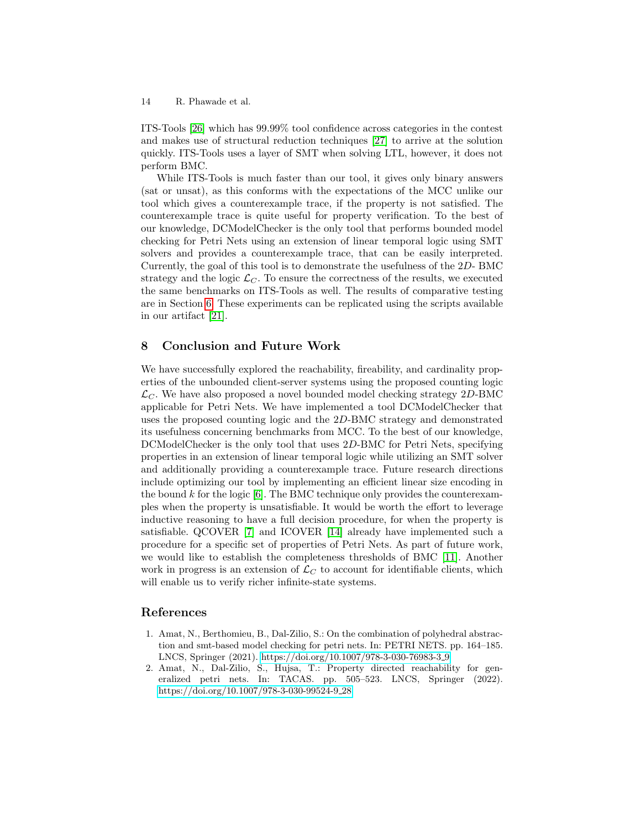ITS-Tools [\[26\]](#page-15-0) which has 99.99% tool confidence across categories in the contest and makes use of structural reduction techniques [\[27\]](#page-15-6) to arrive at the solution quickly. ITS-Tools uses a layer of SMT when solving LTL, however, it does not perform BMC.

While ITS-Tools is much faster than our tool, it gives only binary answers (sat or unsat), as this conforms with the expectations of the MCC unlike our tool which gives a counterexample trace, if the property is not satisfied. The counterexample trace is quite useful for property verification. To the best of our knowledge, DCModelChecker is the only tool that performs bounded model checking for Petri Nets using an extension of linear temporal logic using SMT solvers and provides a counterexample trace, that can be easily interpreted. Currently, the goal of this tool is to demonstrate the usefulness of the 2D- BMC strategy and the logic  $\mathcal{L}_{C}$ . To ensure the correctness of the results, we executed the same benchmarks on ITS-Tools as well. The results of comparative testing are in Section [6.](#page-10-0) These experiments can be replicated using the scripts available in our artifact [\[21\]](#page-14-8).

### <span id="page-13-0"></span>8 Conclusion and Future Work

We have successfully explored the reachability, fireability, and cardinality properties of the unbounded client-server systems using the proposed counting logic  $\mathcal{L}_C$ . We have also proposed a novel bounded model checking strategy 2D-BMC applicable for Petri Nets. We have implemented a tool DCModelChecker that uses the proposed counting logic and the 2D-BMC strategy and demonstrated its usefulness concerning benchmarks from MCC. To the best of our knowledge, DCModelChecker is the only tool that uses 2D-BMC for Petri Nets, specifying properties in an extension of linear temporal logic while utilizing an SMT solver and additionally providing a counterexample trace. Future research directions include optimizing our tool by implementing an efficient linear size encoding in the bound  $k$  for the logic  $[6]$ . The BMC technique only provides the counterexamples when the property is unsatisfiable. It would be worth the effort to leverage inductive reasoning to have a full decision procedure, for when the property is satisfiable. QCOVER [\[7\]](#page-14-11) and ICOVER [\[14\]](#page-14-12) already have implemented such a procedure for a specific set of properties of Petri Nets. As part of future work, we would like to establish the completeness thresholds of BMC [\[11\]](#page-14-15). Another work in progress is an extension of  $\mathcal{L}_C$  to account for identifiable clients, which will enable us to verify richer infinite-state systems.

### References

- <span id="page-13-1"></span>1. Amat, N., Berthomieu, B., Dal-Zilio, S.: On the combination of polyhedral abstraction and smt-based model checking for petri nets. In: PETRI NETS. pp. 164–185. LNCS, Springer (2021). [https://doi.org/10.1007/978-3-030-76983-3](https://doi.org/10.1007/978-3-030-76983-3_9) 9
- <span id="page-13-2"></span>2. Amat, N., Dal-Zilio, S., Hujsa, T.: Property directed reachability for generalized petri nets. In: TACAS. pp. 505–523. LNCS, Springer (2022). [https://doi.org/10.1007/978-3-030-99524-9](https://doi.org/10.1007/978-3-030-99524-9_28) 28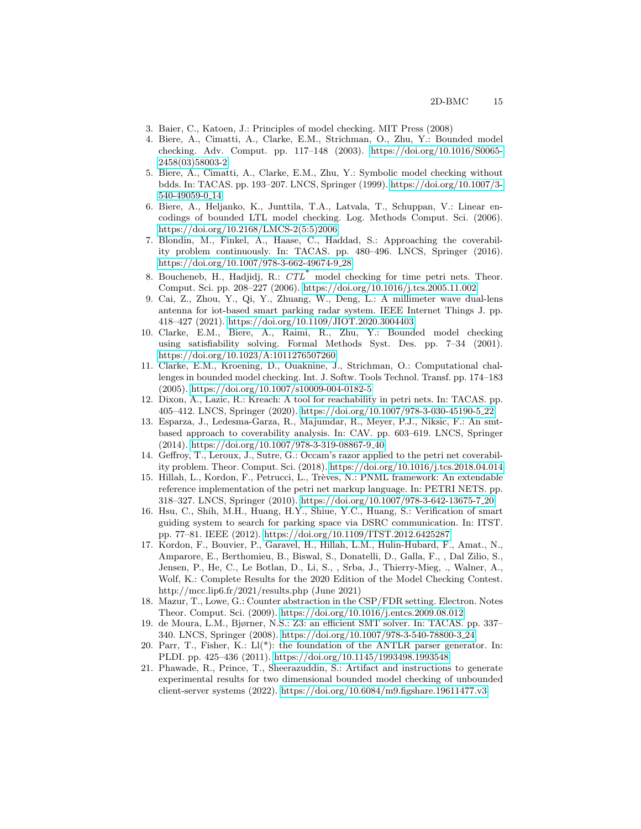- <span id="page-14-0"></span>3. Baier, C., Katoen, J.: Principles of model checking. MIT Press (2008)
- <span id="page-14-3"></span>4. Biere, A., Cimatti, A., Clarke, E.M., Strichman, O., Zhu, Y.: Bounded model checking. Adv. Comput. pp. 117–148 (2003). [https://doi.org/10.1016/S0065-](https://doi.org/10.1016/S0065-2458(03)58003-2) [2458\(03\)58003-2](https://doi.org/10.1016/S0065-2458(03)58003-2)
- <span id="page-14-1"></span>5. Biere, A., Cimatti, A., Clarke, E.M., Zhu, Y.: Symbolic model checking without bdds. In: TACAS. pp. 193–207. LNCS, Springer (1999). [https://doi.org/10.1007/3-](https://doi.org/10.1007/3-540-49059-0_14) [540-49059-0](https://doi.org/10.1007/3-540-49059-0_14) 14
- <span id="page-14-5"></span>6. Biere, A., Heljanko, K., Junttila, T.A., Latvala, T., Schuppan, V.: Linear encodings of bounded LTL model checking. Log. Methods Comput. Sci. (2006). [https://doi.org/10.2168/LMCS-2\(5:5\)2006](https://doi.org/10.2168/LMCS-2(5:5)2006)
- <span id="page-14-11"></span>7. Blondin, M., Finkel, A., Haase, C., Haddad, S.: Approaching the coverability problem continuously. In: TACAS. pp. 480–496. LNCS, Springer (2016). [https://doi.org/10.1007/978-3-662-49674-9](https://doi.org/10.1007/978-3-662-49674-9_28) 28
- <span id="page-14-13"></span>8. Boucheneb, H., Hadjidj, R.:  $CTL^*$  model checking for time petri nets. Theor. Comput. Sci. pp. 208–227 (2006).<https://doi.org/10.1016/j.tcs.2005.11.002>
- <span id="page-14-16"></span>9. Cai, Z., Zhou, Y., Qi, Y., Zhuang, W., Deng, L.: A millimeter wave dual-lens antenna for iot-based smart parking radar system. IEEE Internet Things J. pp. 418–427 (2021).<https://doi.org/10.1109/JIOT.2020.3004403>
- <span id="page-14-2"></span>10. Clarke, E.M., Biere, A., Raimi, R., Zhu, Y.: Bounded model checking using satisfiability solving. Formal Methods Syst. Des. pp. 7–34 (2001). <https://doi.org/10.1023/A:1011276507260>
- <span id="page-14-15"></span>11. Clarke, E.M., Kroening, D., Ouaknine, J., Strichman, O.: Computational challenges in bounded model checking. Int. J. Softw. Tools Technol. Transf. pp. 174–183 (2005).<https://doi.org/10.1007/s10009-004-0182-5>
- <span id="page-14-10"></span>12. Dixon, A., Lazic, R.: Kreach: A tool for reachability in petri nets. In: TACAS. pp. 405–412. LNCS, Springer (2020). [https://doi.org/10.1007/978-3-030-45190-5](https://doi.org/10.1007/978-3-030-45190-5_22) 22
- <span id="page-14-14"></span>13. Esparza, J., Ledesma-Garza, R., Majumdar, R., Meyer, P.J., Niksic, F.: An smtbased approach to coverability analysis. In: CAV. pp. 603–619. LNCS, Springer (2014). [https://doi.org/10.1007/978-3-319-08867-9](https://doi.org/10.1007/978-3-319-08867-9_40) 40
- <span id="page-14-12"></span>14. Geffroy, T., Leroux, J., Sutre, G.: Occam's razor applied to the petri net coverability problem. Theor. Comput. Sci. (2018).<https://doi.org/10.1016/j.tcs.2018.04.014>
- <span id="page-14-18"></span>15. Hillah, L., Kordon, F., Petrucci, L., Trèves, N.: PNML framework: An extendable reference implementation of the petri net markup language. In: PETRI NETS. pp. 318–327. LNCS, Springer (2010). [https://doi.org/10.1007/978-3-642-13675-7](https://doi.org/10.1007/978-3-642-13675-7_20) 20
- <span id="page-14-17"></span>16. Hsu, C., Shih, M.H., Huang, H.Y., Shiue, Y.C., Huang, S.: Verification of smart guiding system to search for parking space via DSRC communication. In: ITST. pp. 77–81. IEEE (2012).<https://doi.org/10.1109/ITST.2012.6425287>
- <span id="page-14-4"></span>17. Kordon, F., Bouvier, P., Garavel, H., Hillah, L.M., Hulin-Hubard, F., Amat., N., Amparore, E., Berthomieu, B., Biswal, S., Donatelli, D., Galla, F., , Dal Zilio, S., Jensen, P., He, C., Le Botlan, D., Li, S., , Srba, J., Thierry-Mieg, ., Walner, A., Wolf, K.: Complete Results for the 2020 Edition of the Model Checking Contest. http://mcc.lip6.fr/2021/results.php (June 2021)
- <span id="page-14-9"></span>18. Mazur, T., Lowe, G.: Counter abstraction in the CSP/FDR setting. Electron. Notes Theor. Comput. Sci. (2009).<https://doi.org/10.1016/j.entcs.2009.08.012>
- <span id="page-14-7"></span>19. de Moura, L.M., Bjørner, N.S.: Z3: an efficient SMT solver. In: TACAS. pp. 337– 340. LNCS, Springer (2008). [https://doi.org/10.1007/978-3-540-78800-3](https://doi.org/10.1007/978-3-540-78800-3_24) 24
- <span id="page-14-6"></span>20. Parr, T., Fisher, K.: Ll(\*): the foundation of the ANTLR parser generator. In: PLDI. pp. 425–436 (2011).<https://doi.org/10.1145/1993498.1993548>
- <span id="page-14-8"></span>21. Phawade, R., Prince, T., Sheerazuddin, S.: Artifact and instructions to generate experimental results for two dimensional bounded model checking of unbounded client-server systems (2022).<https://doi.org/10.6084/m9.figshare.19611477.v3>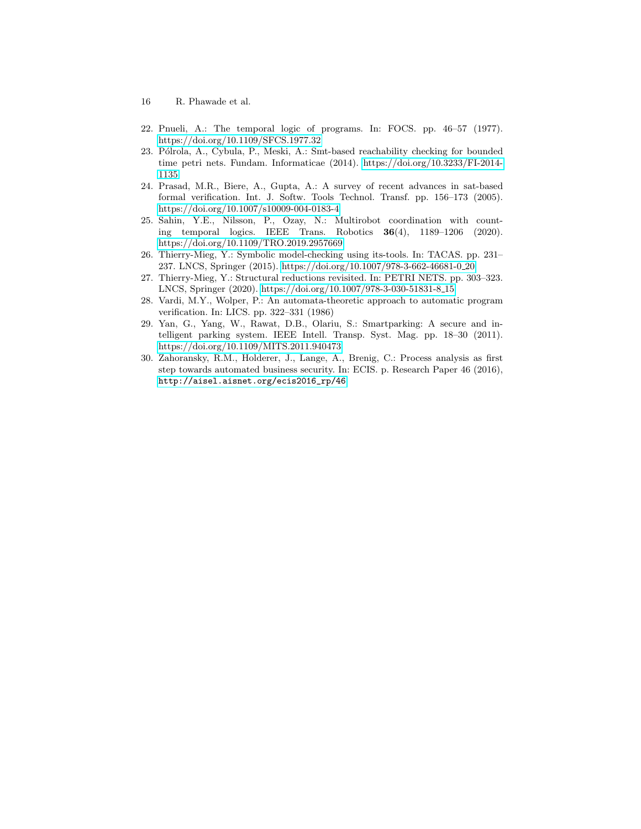- 16 R. Phawade et al.
- <span id="page-15-1"></span>22. Pnueli, A.: The temporal logic of programs. In: FOCS. pp. 46–57 (1977). <https://doi.org/10.1109/SFCS.1977.32>
- <span id="page-15-4"></span>23. Pólrola, A., Cybula, P., Meski, A.: Smt-based reachability checking for bounded time petri nets. Fundam. Informaticae (2014). [https://doi.org/10.3233/FI-2014-](https://doi.org/10.3233/FI-2014-1135) [1135](https://doi.org/10.3233/FI-2014-1135)
- <span id="page-15-5"></span>24. Prasad, M.R., Biere, A., Gupta, A.: A survey of recent advances in sat-based formal verification. Int. J. Softw. Tools Technol. Transf. pp. 156–173 (2005). <https://doi.org/10.1007/s10009-004-0183-4>
- <span id="page-15-7"></span>25. Sahin, Y.E., Nilsson, P., Ozay, N.: Multirobot coordination with counting temporal logics. IEEE Trans. Robotics 36(4), 1189–1206 (2020). <https://doi.org/10.1109/TRO.2019.2957669>
- <span id="page-15-0"></span>26. Thierry-Mieg, Y.: Symbolic model-checking using its-tools. In: TACAS. pp. 231– 237. LNCS, Springer (2015). [https://doi.org/10.1007/978-3-662-46681-0](https://doi.org/10.1007/978-3-662-46681-0_20) 20
- <span id="page-15-6"></span>27. Thierry-Mieg, Y.: Structural reductions revisited. In: PETRI NETS. pp. 303–323. LNCS, Springer (2020). [https://doi.org/10.1007/978-3-030-51831-8](https://doi.org/10.1007/978-3-030-51831-8_15) 15
- <span id="page-15-2"></span>28. Vardi, M.Y., Wolper, P.: An automata-theoretic approach to automatic program verification. In: LICS. pp. 322–331 (1986)
- <span id="page-15-8"></span>29. Yan, G., Yang, W., Rawat, D.B., Olariu, S.: Smartparking: A secure and intelligent parking system. IEEE Intell. Transp. Syst. Mag. pp. 18–30 (2011). <https://doi.org/10.1109/MITS.2011.940473>
- <span id="page-15-3"></span>30. Zahoransky, R.M., Holderer, J., Lange, A., Brenig, C.: Process analysis as first step towards automated business security. In: ECIS. p. Research Paper 46 (2016), [http://aisel.aisnet.org/ecis2016\\_rp/46](http://aisel.aisnet.org/ecis2016_rp/46)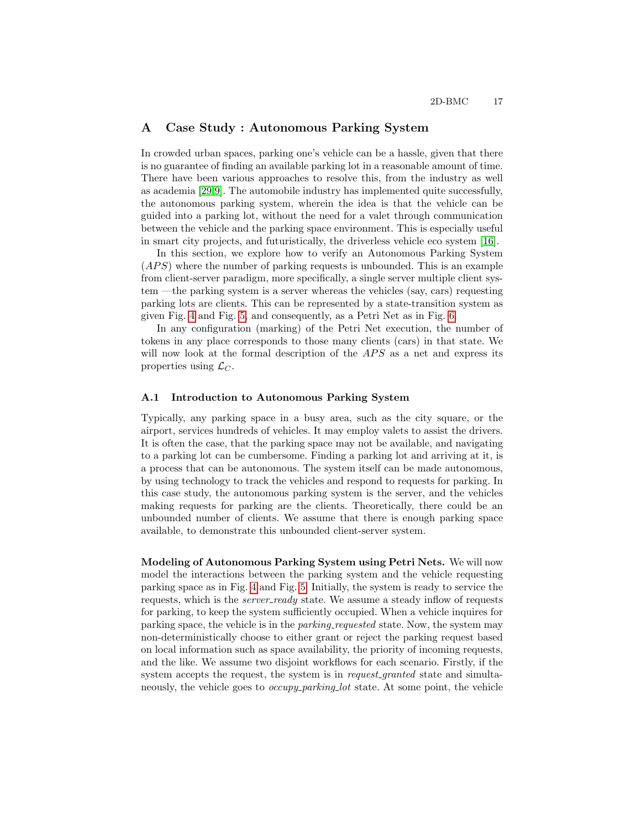### <span id="page-16-0"></span>A Case Study : Autonomous Parking System

In crowded urban spaces, parking one's vehicle can be a hassle, given that there is no guarantee of finding an available parking lot in a reasonable amount of time. There have been various approaches to resolve this, from the industry as well as academia [\[29](#page-15-8)[,9\]](#page-14-16). The automobile industry has implemented quite successfully, the autonomous parking system, wherein the idea is that the vehicle can be guided into a parking lot, without the need for a valet through communication between the vehicle and the parking space environment. This is especially useful in smart city projects, and futuristically, the driverless vehicle eco system [\[16\]](#page-14-17).

In this section, we explore how to verify an Autonomous Parking System  $(APS)$  where the number of parking requests is unbounded. This is an example from client-server paradigm, more specifically, a single server multiple client system —the parking system is a server whereas the vehicles (say, cars) requesting parking lots are clients. This can be represented by a state-transition system as given Fig. [4](#page-17-0) and Fig. [5,](#page-18-1) and consequently, as a Petri Net as in Fig. [6.](#page-18-2)

In any configuration (marking) of the Petri Net execution, the number of tokens in any place corresponds to those many clients (cars) in that state. We will now look at the formal description of the  $APS$  as a net and express its properties using  $\mathcal{L}_C$ .

### A.1 Introduction to Autonomous Parking System

Typically, any parking space in a busy area, such as the city square, or the airport, services hundreds of vehicles. It may employ valets to assist the drivers. It is often the case, that the parking space may not be available, and navigating to a parking lot can be cumbersome. Finding a parking lot and arriving at it, is a process that can be autonomous. The system itself can be made autonomous, by using technology to track the vehicles and respond to requests for parking. In this case study, the autonomous parking system is the server, and the vehicles making requests for parking are the clients. Theoretically, there could be an unbounded number of clients. We assume that there is enough parking space available, to demonstrate this unbounded client-server system.

Modeling of Autonomous Parking System using Petri Nets. We will now model the interactions between the parking system and the vehicle requesting parking space as in Fig. [4](#page-17-0) and Fig. [5.](#page-18-1) Initially, the system is ready to service the requests, which is the *server\_ready* state. We assume a steady inflow of requests for parking, to keep the system sufficiently occupied. When a vehicle inquires for parking space, the vehicle is in the parking requested state. Now, the system may non-deterministically choose to either grant or reject the parking request based on local information such as space availability, the priority of incoming requests, and the like. We assume two disjoint workflows for each scenario. Firstly, if the system accepts the request, the system is in *request\_granted* state and simultaneously, the vehicle goes to *occupy\_parking\_lot* state. At some point, the vehicle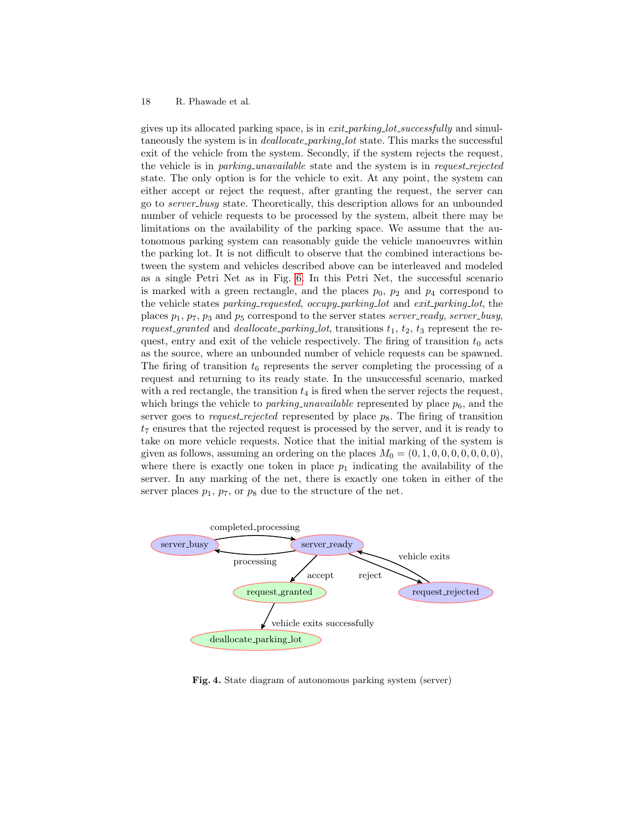gives up its allocated parking space, is in *exit\_parking\_lot\_successfully* and simultaneously the system is in *deallocate\_parking\_lot* state. This marks the successful exit of the vehicle from the system. Secondly, if the system rejects the request, the vehicle is in *parking unavailable* state and the system is in *request\_rejected* state. The only option is for the vehicle to exit. At any point, the system can either accept or reject the request, after granting the request, the server can go to server busy state. Theoretically, this description allows for an unbounded number of vehicle requests to be processed by the system, albeit there may be limitations on the availability of the parking space. We assume that the autonomous parking system can reasonably guide the vehicle manoeuvres within the parking lot. It is not difficult to observe that the combined interactions between the system and vehicles described above can be interleaved and modeled as a single Petri Net as in Fig. [6.](#page-18-2) In this Petri Net, the successful scenario is marked with a green rectangle, and the places  $p_0$ ,  $p_2$  and  $p_4$  correspond to the vehicle states parking-requested, occupy-parking-lot and exit-parking-lot, the places  $p_1$ ,  $p_7$ ,  $p_3$  and  $p_5$  correspond to the server states server-ready, server-busy, request-granted and deallocate-parking-lot, transitions  $t_1$ ,  $t_2$ ,  $t_3$  represent the request, entry and exit of the vehicle respectively. The firing of transition  $t_0$  acts as the source, where an unbounded number of vehicle requests can be spawned. The firing of transition  $t_6$  represents the server completing the processing of a request and returning to its ready state. In the unsuccessful scenario, marked with a red rectangle, the transition  $t_4$  is fired when the server rejects the request, which brings the vehicle to *parking unavailable* represented by place  $p_6$ , and the server goes to request-rejected represented by place  $p_8$ . The firing of transition  $t_7$  ensures that the rejected request is processed by the server, and it is ready to take on more vehicle requests. Notice that the initial marking of the system is given as follows, assuming an ordering on the places  $M_0 = (0, 1, 0, 0, 0, 0, 0, 0, 0)$ , where there is exactly one token in place  $p_1$  indicating the availability of the server. In any marking of the net, there is exactly one token in either of the server places  $p_1$ ,  $p_7$ , or  $p_8$  due to the structure of the net.



<span id="page-17-0"></span>Fig. 4. State diagram of autonomous parking system (server)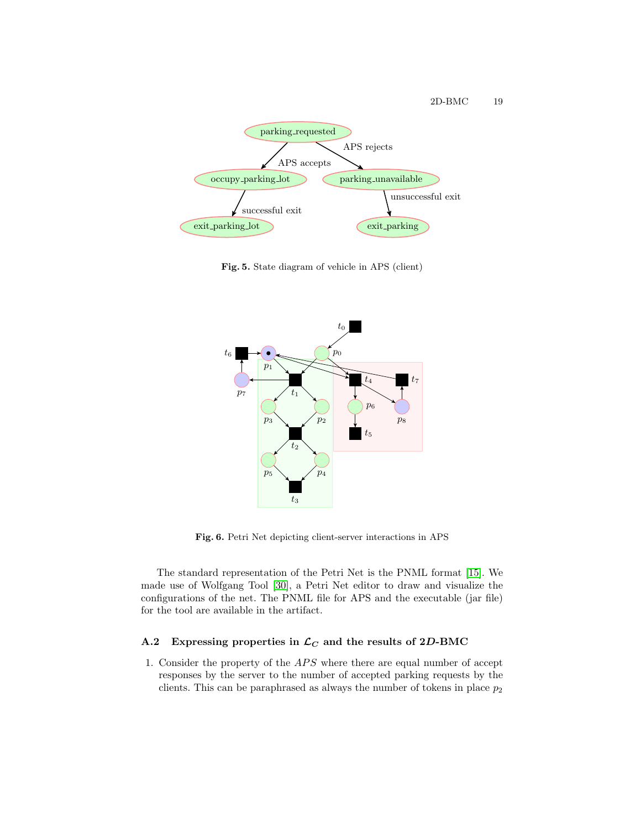

<span id="page-18-1"></span>Fig. 5. State diagram of vehicle in APS (client)



<span id="page-18-2"></span>Fig. 6. Petri Net depicting client-server interactions in APS

The standard representation of the Petri Net is the PNML format [\[15\]](#page-14-18). We made use of Wolfgang Tool [\[30\]](#page-15-3), a Petri Net editor to draw and visualize the configurations of the net. The PNML file for APS and the executable (jar file) for the tool are available in the artifact.

# <span id="page-18-0"></span>A.2 Expressing properties in  $\mathcal{L}_C$  and the results of 2D-BMC

1. Consider the property of the  $APS$  where there are equal number of accept responses by the server to the number of accepted parking requests by the clients. This can be paraphrased as always the number of tokens in place  $p_2$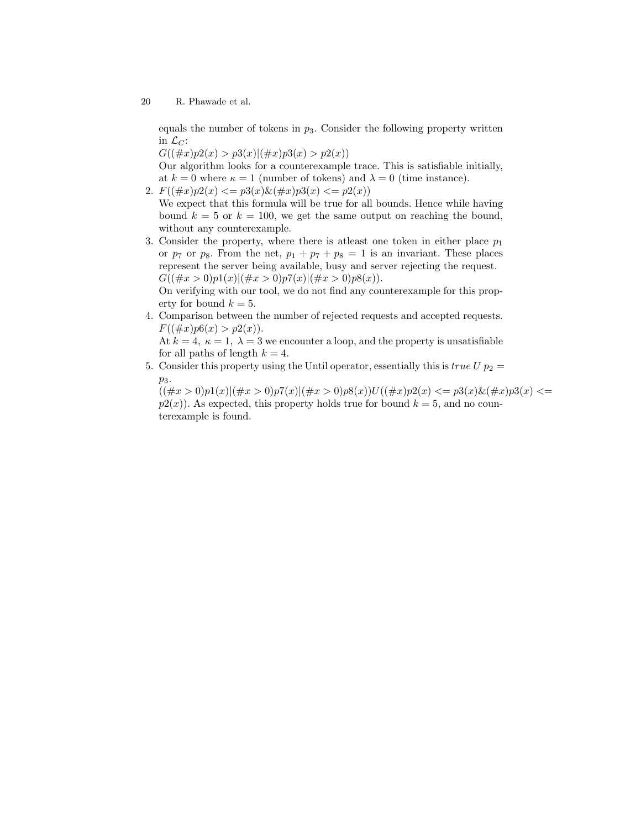equals the number of tokens in  $p_3$ . Consider the following property written in  $\mathcal{L}_C$ :

 $G((\#x)p2(x) > p3(x)|(\#x)p3(x) > p2(x))$ 

Our algorithm looks for a counterexample trace. This is satisfiable initially, at  $k = 0$  where  $\kappa = 1$  (number of tokens) and  $\lambda = 0$  (time instance).

2.  $F((\#x)p2(x) \leq p3(x) \& (\#x)p3(x) \leq p2(x))$ 

We expect that this formula will be true for all bounds. Hence while having bound  $k = 5$  or  $k = 100$ , we get the same output on reaching the bound, without any counterexample.

3. Consider the property, where there is at east one token in either place  $p_1$ or  $p_7$  or  $p_8$ . From the net,  $p_1 + p_7 + p_8 = 1$  is an invariant. These places represent the server being available, busy and server rejecting the request.  $G((\#x > 0)p1(x)|(\#x > 0)p7(x)|(\#x > 0)p8(x)).$ 

On verifying with our tool, we do not find any counterexample for this property for bound  $k = 5$ .

4. Comparison between the number of rejected requests and accepted requests.  $F((\#x)p6(x) > p2(x)).$ 

At  $k = 4$ ,  $\kappa = 1$ ,  $\lambda = 3$  we encounter a loop, and the property is unsatisfiable for all paths of length  $k = 4$ .

5. Consider this property using the Until operator, essentially this is true  $U p_2 =$  $p_3$ .

 $((\#x > 0)p1(x)|(\#x > 0)p7(x)|(\#x > 0)p8(x))U((\#x)p2(x) \leq p3(x)\&(\#x)p3(x) \leq p3(x)$  $p2(x)$ ). As expected, this property holds true for bound  $k = 5$ , and no counterexample is found.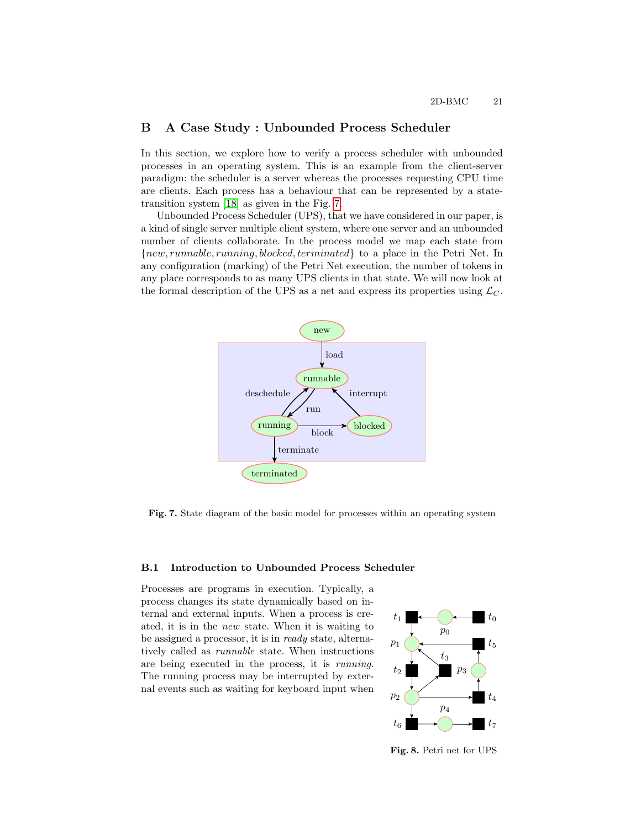# <span id="page-20-0"></span>B A Case Study : Unbounded Process Scheduler

In this section, we explore how to verify a process scheduler with unbounded processes in an operating system. This is an example from the client-server paradigm: the scheduler is a server whereas the processes requesting CPU time are clients. Each process has a behaviour that can be represented by a statetransition system [\[18\]](#page-14-9) as given in the Fig. [7.](#page-20-1)

Unbounded Process Scheduler (UPS), that we have considered in our paper, is a kind of single server multiple client system, where one server and an unbounded number of clients collaborate. In the process model we map each state from {new, runnable, running, blocked, terminated} to a place in the Petri Net. In any configuration (marking) of the Petri Net execution, the number of tokens in any place corresponds to as many UPS clients in that state. We will now look at the formal description of the UPS as a net and express its properties using  $\mathcal{L}_C$ .



<span id="page-20-1"></span>Fig. 7. State diagram of the basic model for processes within an operating system

### B.1 Introduction to Unbounded Process Scheduler

Processes are programs in execution. Typically, a process changes its state dynamically based on internal and external inputs. When a process is created, it is in the new state. When it is waiting to be assigned a processor, it is in ready state, alternatively called as runnable state. When instructions are being executed in the process, it is running. The running process may be interrupted by external events such as waiting for keyboard input when



<span id="page-20-2"></span>Fig. 8. Petri net for UPS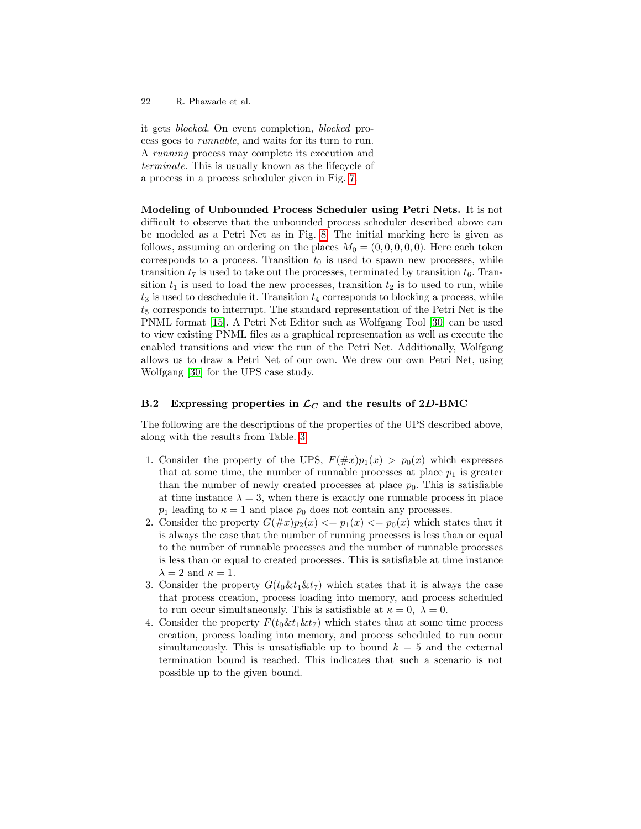it gets blocked. On event completion, blocked process goes to runnable, and waits for its turn to run. A running process may complete its execution and terminate. This is usually known as the lifecycle of a process in a process scheduler given in Fig. [7.](#page-20-1)

Modeling of Unbounded Process Scheduler using Petri Nets. It is not difficult to observe that the unbounded process scheduler described above can be modeled as a Petri Net as in Fig. [8.](#page-20-2) The initial marking here is given as follows, assuming an ordering on the places  $M_0 = (0, 0, 0, 0, 0)$ . Here each token corresponds to a process. Transition  $t_0$  is used to spawn new processes, while transition  $t_7$  is used to take out the processes, terminated by transition  $t_6$ . Transition  $t_1$  is used to load the new processes, transition  $t_2$  is to used to run, while  $t_3$  is used to deschedule it. Transition  $t_4$  corresponds to blocking a process, while  $t<sub>5</sub>$  corresponds to interrupt. The standard representation of the Petri Net is the PNML format [\[15\]](#page-14-18). A Petri Net Editor such as Wolfgang Tool [\[30\]](#page-15-3) can be used to view existing PNML files as a graphical representation as well as execute the enabled transitions and view the run of the Petri Net. Additionally, Wolfgang allows us to draw a Petri Net of our own. We drew our own Petri Net, using Wolfgang [\[30\]](#page-15-3) for the UPS case study.

### <span id="page-21-0"></span>B.2 Expressing properties in  $\mathcal{L}_C$  and the results of 2D-BMC

The following are the descriptions of the properties of the UPS described above, along with the results from Table. [3.](#page-12-2)

- 1. Consider the property of the UPS,  $F(\#x)p_1(x) > p_0(x)$  which expresses that at some time, the number of runnable processes at place  $p_1$  is greater than the number of newly created processes at place  $p_0$ . This is satisfiable at time instance  $\lambda = 3$ , when there is exactly one runnable process in place  $p_1$  leading to  $\kappa = 1$  and place  $p_0$  does not contain any processes.
- 2. Consider the property  $G(\#x)p_2(x) \leq p_1(x) \leq p_0(x)$  which states that it is always the case that the number of running processes is less than or equal to the number of runnable processes and the number of runnable processes is less than or equal to created processes. This is satisfiable at time instance  $\lambda = 2$  and  $\kappa = 1$ .
- 3. Consider the property  $G(t_0 \& t_1 \& t_7)$  which states that it is always the case that process creation, process loading into memory, and process scheduled to run occur simultaneously. This is satisfiable at  $\kappa = 0$ ,  $\lambda = 0$ .
- 4. Consider the property  $F(t_0 \& t_1 \& t_7)$  which states that at some time process creation, process loading into memory, and process scheduled to run occur simultaneously. This is unsatisfiable up to bound  $k = 5$  and the external termination bound is reached. This indicates that such a scenario is not possible up to the given bound.